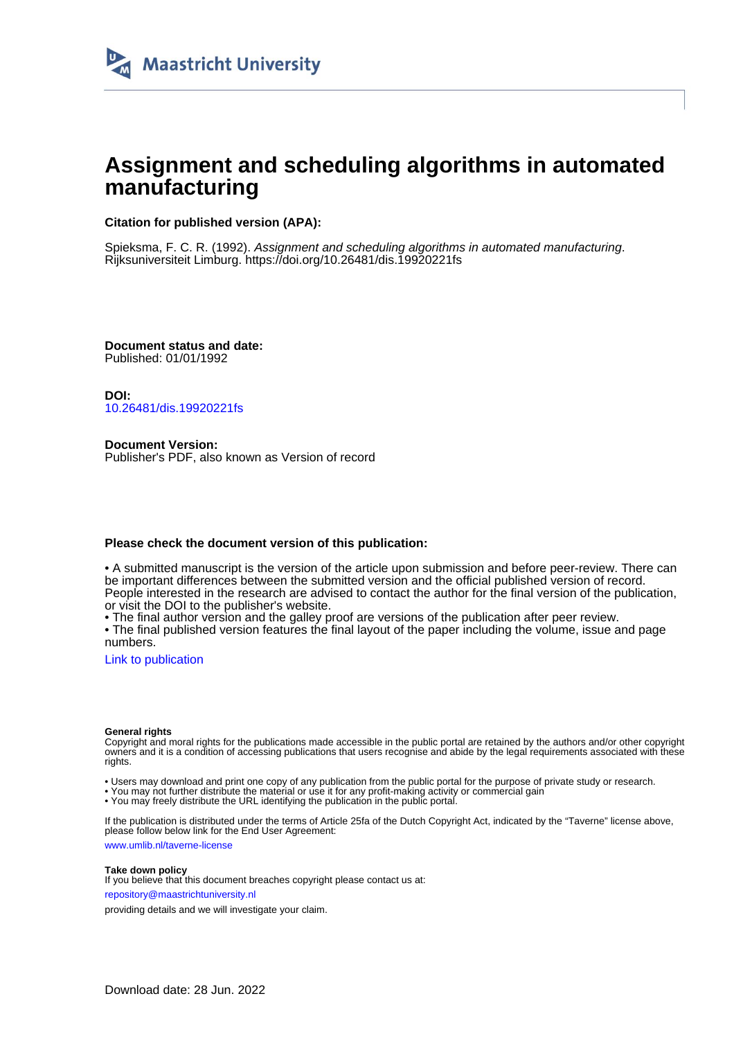

# **Assignment and scheduling algorithms in automated manufacturing**

## **Citation for published version (APA):**

Spieksma, F. C. R. (1992). Assignment and scheduling algorithms in automated manufacturing. Rijksuniversiteit Limburg. <https://doi.org/10.26481/dis.19920221fs>

**Document status and date:** Published: 01/01/1992

**DOI:** [10.26481/dis.19920221fs](https://doi.org/10.26481/dis.19920221fs)

**Document Version:** Publisher's PDF, also known as Version of record

## **Please check the document version of this publication:**

• A submitted manuscript is the version of the article upon submission and before peer-review. There can be important differences between the submitted version and the official published version of record. People interested in the research are advised to contact the author for the final version of the publication, or visit the DOI to the publisher's website.

• The final author version and the galley proof are versions of the publication after peer review.

• The final published version features the final layout of the paper including the volume, issue and page numbers.

[Link to publication](https://cris.maastrichtuniversity.nl/en/publications/bbc05b1b-47c7-460e-b7ef-c7c3128fe3ac)

#### **General rights**

Copyright and moral rights for the publications made accessible in the public portal are retained by the authors and/or other copyright owners and it is a condition of accessing publications that users recognise and abide by the legal requirements associated with these rights.

• Users may download and print one copy of any publication from the public portal for the purpose of private study or research.

• You may not further distribute the material or use it for any profit-making activity or commercial gain

• You may freely distribute the URL identifying the publication in the public portal.

If the publication is distributed under the terms of Article 25fa of the Dutch Copyright Act, indicated by the "Taverne" license above, please follow below link for the End User Agreement:

www.umlib.nl/taverne-license

### **Take down policy**

If you believe that this document breaches copyright please contact us at: repository@maastrichtuniversity.nl

providing details and we will investigate your claim.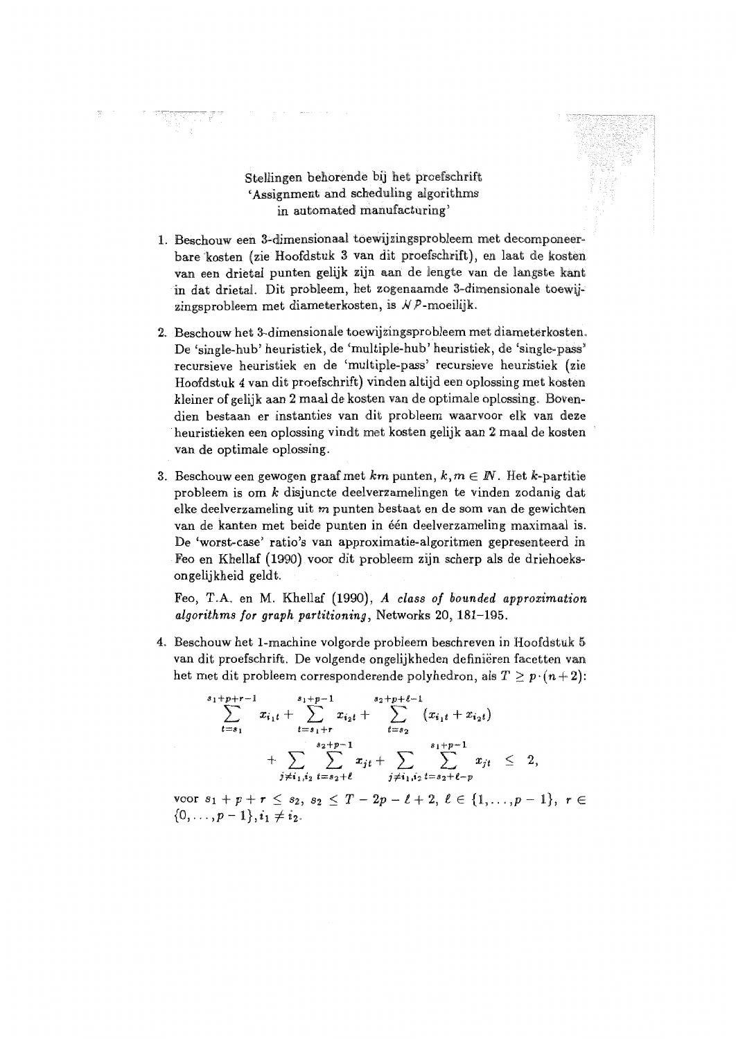Stellingen behorende bij het proefschrift 'Assignment and scheduling algorithms in automated manufacturing'

- 1. Beschouw een 3-dimensionaal toewijzingsprobleem met decomponeerbare kosten (zie Hoofdstuk 3 van dit proefschrift), en laat de kosten van een drietal punten gelijk zijn aan de lengte van de langste kant in dat drietal. Dit probleem, het zogenaamde 3-dimensionale toewiizingsprobleem met diameterkosten, is  $N P$ -moeilijk.
- 2. Beschouw het 3-dimensionale toewijzingsprobleem met diameterkosten. De 'single-hub' heuristiek, de 'multiple-hub' heuristiek, de 'single-pass' recursieve heuristiek en de 'multiple-pass' recursieve heuristiek (zie Hoofdstuk 4 van dit proefschrift) vinden altijd een oplossing met kosten kleiner of gelijk aan 2 maal de kosten van de optimale oplossing. Bovendien bestaan er instanties van dit probleem waarvoor elk van deze heuristieken een oplossing vindt met kosten gelijk aan 2 maal de kosten van de optimale oplossing.
- 3. Beschouw een gewogen graaf met km punten,  $k, m \in \mathbb{N}$ . Het k-partitie probleem is om  $k$  disjuncte deelverzamelingen te vinden zodanig dat elke deelverzameling uit m punten bestaat en de som van de gewichten van de kanten met beide punten in één deelverzameling maximaal is. De 'worst-case' ratio's van approximatie-algoritmen gepresenteerd in Feo en Khellaf (1990) voor dit probleem zijn scherp als de driehoeksongelijkheid geldt.

Feo, T.A. en M. Khellaf (1990), A class of bounded approximation algorithms for graph partitioning, Networks 20, 181-195.

4. Beschouw het 1-machine volgorde probleem beschreven in Hoofdstuk 5 van dit proefschrift. De volgende ongelijkheden definiëren facetten van het met dit probleem corresponderende polyhedron, als  $T \geq p \cdot (n+2)$ :

$$
\sum_{t=s_1}^{s_1+p+r-1} x_{i_1t} + \sum_{t=s_1+r}^{s_1+p-1} x_{i_2t} + \sum_{t=s_2}^{s_2+p+\ell-1} (x_{i_1t} + x_{i_2t}) + \sum_{j \neq i_1, i_2} \sum_{t=s_2+\ell}^{s_2+p-1} x_{jt} + \sum_{j \neq i_1, i_2} \sum_{t=s_2+\ell-p}^{s_1+p-1} x_{jt} \leq 2,
$$

voor  $s_1 + p + r \leq s_2$ ,  $s_2 \leq T - 2p - \ell + 2$ ,  $\ell \in \{1, ..., p - 1\}$ ,  $r \in$  $\{0,\ldots,p-1\}, i_1 \neq i_2.$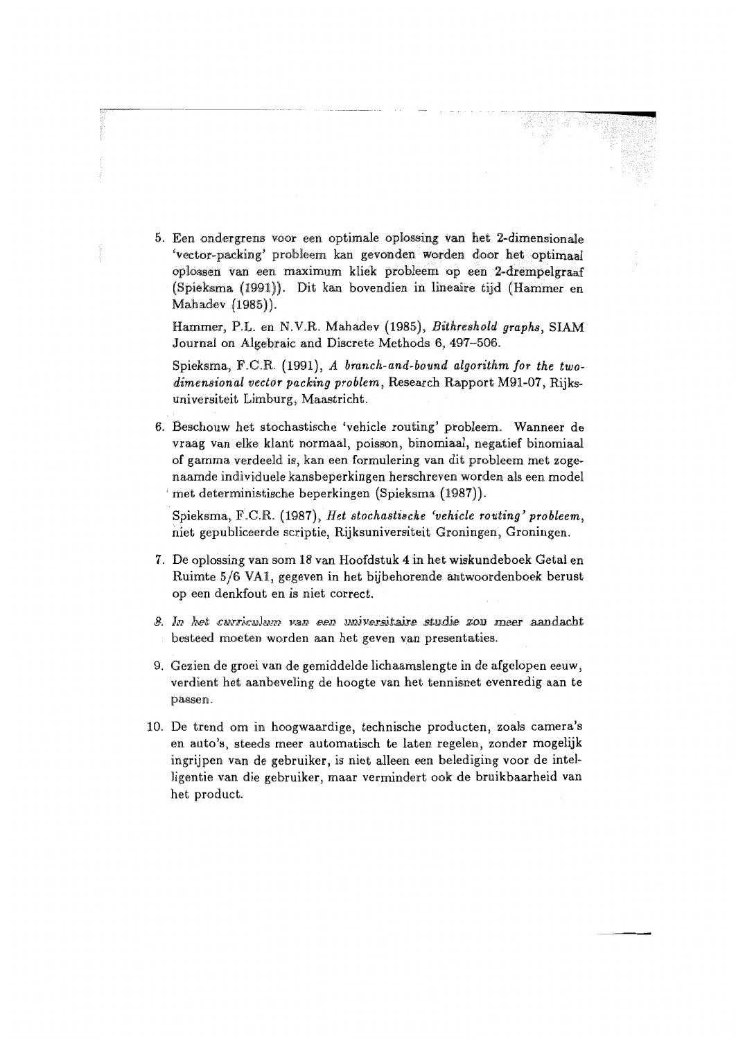5. Een ondergrens voor een optimale oplossing van het 2-dimensionale 'vector-packing' probleem kan gevonden worden door het optimaal oplossen van een maximum kliek probleem op een 2-drempelgraaf (Spieksma (1991)). Dit kan bovendien in lineaire tijd (Hammer en Mahadev (1985)).

Hammer, P.L. en N.V.R. Mahadev (1985), Bithreshold graphs. SIAM Journal on Algebraic and Discrete Methods 6, 497-506.

Spieksma, F.C.R. (1991), A branch-and-bound algorithm for the twodimensional vector packing problem, Research Rapport M91-07, Rijksuniversiteit Limburg, Maastricht.

6. Beschouw het stochastische 'vehicle routing' probleem. Wanneer de vraag van elke klant normaal, poisson, binomiaal, negatief binomiaal of gamma verdeeld is, kan een formulering van dit probleem met zogenaamde individuele kansbeperkingen herschreven worden als een model met deterministische beperkingen (Spieksma (1987)).

Spieksma, F.C.R. (1987), Het stochastische 'vehicle routing' probleem. niet gepubliceerde scriptie. Rijksuniversiteit Groningen, Groningen.

- 7. De oplossing van som 18 van Hoofdstuk 4 in het wiskundeboek Getal en Ruimte 5/6 VA1, gegeven in het bijbehorende antwoordenboek berust op een denkfout en is niet correct.
- 8. In het curriculum van een universitaire studie zou meer aandacht besteed moeten worden aan het geven van presentaties.
- 9. Gezien de groei van de gemiddelde lichaamslengte in de afgelopen eeuw, verdient het aanbeveling de hoogte van het tennisnet evenredig aan te passen.
- 10. De trend om in hoogwaardige, technische producten, zoals camera's en auto's, steeds meer automatisch te laten regelen, zonder mogelijk ingrijpen van de gebruiker, is niet alleen een belediging voor de intelligentie van die gebruiker, maar vermindert ook de bruikbaarheid van het product.